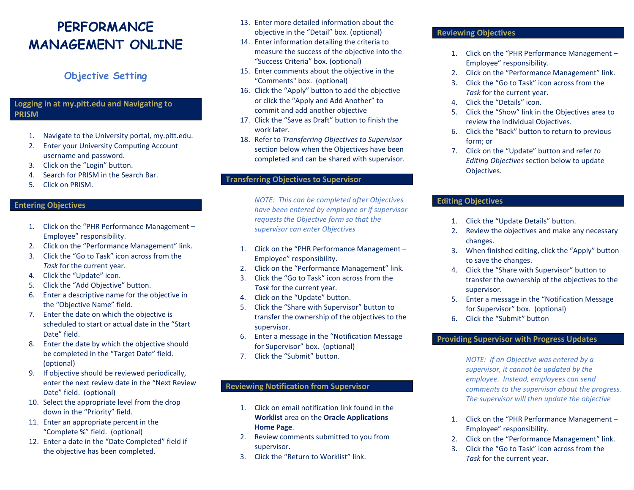## **PERFORMANCE MANAGEMENT ONLINE**

### **Objective Setting**

#### **Logging in at my.pitt.edu and Navigating to PRISM**

- 1. Navigate to the University portal, my.pitt.edu.
- 2. Enter your University Computing Account username and password.
- 3. Click on the "Login" button.
- 4. Search for PRISM in the Search Bar.
- 5. Click on PRISM.

#### **Entering Objectives**

- 1. Click on the "PHR Performance Management Employee" responsibility.
- 2. Click on the "Performance Management" link.
- 3. Click the "Go to Task" icon across from the *Task* for the current year.
- 4. Click the "Update" icon.
- 5. Click the "Add Objective" button.
- 6. Enter a descriptive name for the objective in the "Objective Name" field.
- 7. Enter the date on which the objective is scheduled to start or actual date in the "Start Date" field.
- 8. Enter the date by which the objective should be completed in the "Target Date" field. (optional)
- 9. If objective should be reviewed periodically, enter the next review date in the "Next Review Date" field. (optional)
- 10. Select the appropriate level from the drop down in the "Priority" field.
- 11. Enter an appropriate percent in the "Complete %" field. (optional)
- 12. Enter a date in the "Date Completed" field if the objective has been completed.
- 13. Enter more detailed information about the objective in the "Detail" box. (optional)
- 14. Enter information detailing the criteria to measure the success of the objective into the "Success Criteria" box. (optional)
- 15. Enter comments about the objective in the "Comments" box. (optional)
- 16. Click the "Apply" button to add the objective or click the "Apply and Add Another" to commit and add another objective
- 17. Click the "Save as Draft" button to finish the work later.
- 18. Refer to *Transferring Objectives to Supervisor* section below when the Objectives have been completed and can be shared with supervisor.

#### **Transferring Objectives to Supervisor**

*NOTE: This can be completed after Objectives have been entered by employee or if supervisor requests the Objective form so that the supervisor can enter Objectives*

- 1. Click on the "PHR Performance Management Employee" responsibility.
- 2. Click on the "Performance Management" link.
- 3. Click the "Go to Task" icon across from the *Task* for the current year.
- 4. Click on the "Update" button.
- 5. Click the "Share with Supervisor" button to transfer the ownership of the objectives to the supervisor.
- 6. Enter a message in the "Notification Message for Supervisor" box. (optional)
- 7. Click the "Submit" button.

#### **Reviewing Notification from Supervisor**

- 1. Click on email notification link found in the **Worklist** area on the **Oracle Applications Home Page**.
- 2. Review comments submitted to you from supervisor.
- 3. Click the "Return to Worklist" link.

#### **Reviewing Objectives**

- 1. Click on the "PHR Performance Management Employee" responsibility.
- 2. Click on the "Performance Management" link.
- 3. Click the "Go to Task" icon across from the *Task* for the current year.
- 4. Click the "Details" icon.
- 5. Click the "Show" link in the Objectives area to review the individual Objectives.
- 6. Click the "Back" button to return to previous form; or
- 7. Click on the "Update" button and refer *to Editing Objectives* section below to update Objectives.

#### **Editing Objectives**

- 1. Click the "Update Details" button.
- 2. Review the objectives and make any necessary changes.
- 3. When finished editing, click the "Apply" button to save the changes.
- 4. Click the "Share with Supervisor" button to transfer the ownership of the objectives to the supervisor.
- 5. Enter a message in the "Notification Message for Supervisor" box. (optional)
- 6. Click the "Submit" button

#### **Providing Supervisor with Progress Updates**

*NOTE: If an Objective was entered by a supervisor, it cannot be updated by the employee. Instead, employees can send comments to the supervisor about the progress. The supervisor will then update the objective* 

- 1. Click on the "PHR Performance Management Employee" responsibility.
- 2. Click on the "Performance Management" link.
- 3. Click the "Go to Task" icon across from the *Task* for the current year.